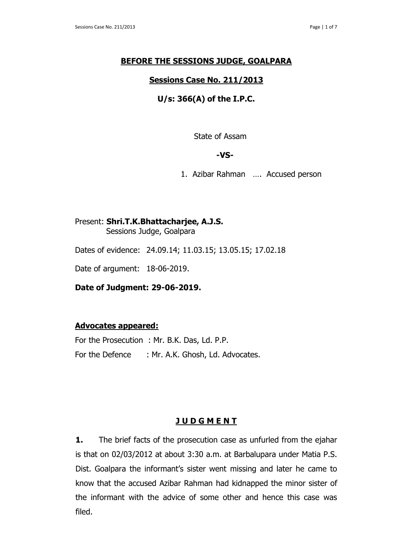### **BEFORE THE SESSIONS JUDGE, GOALPARA**

## **Sessions Case No. 211/2013**

# **U/s: 366(A) of the I.P.C.**

State of Assam

#### **-VS-**

1. Azibar Rahman …. Accused person

# Present: **Shri.T.K.Bhattacharjee, A.J.S.**

Sessions Judge, Goalpara

Dates of evidence: 24.09.14; 11.03.15; 13.05.15; 17.02.18

Date of argument: 18-06-2019.

**Date of Judgment: 29-06-2019.**

### **Advocates appeared:**

For the Prosecution : Mr. B.K. Das, Ld. P.P. For the Defence : Mr. A.K. Ghosh, Ld. Advocates.

# **J U D G M E N T**

**1.** The brief facts of the prosecution case as unfurled from the ejahar is that on 02/03/2012 at about 3:30 a.m. at Barbalupara under Matia P.S. Dist. Goalpara the informant's sister went missing and later he came to know that the accused Azibar Rahman had kidnapped the minor sister of the informant with the advice of some other and hence this case was filed.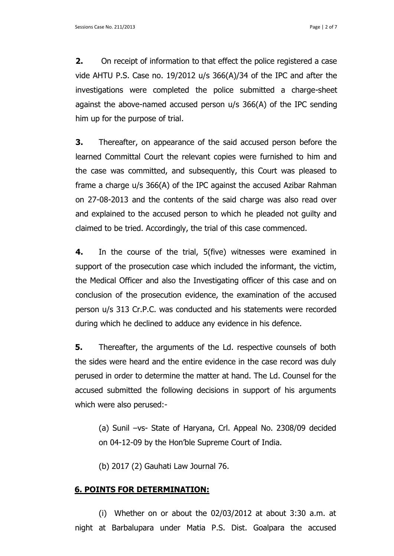**2.** On receipt of information to that effect the police registered a case vide AHTU P.S. Case no. 19/2012 u/s 366(A)/34 of the IPC and after the investigations were completed the police submitted a charge-sheet against the above-named accused person u/s 366(A) of the IPC sending him up for the purpose of trial.

**3.** Thereafter, on appearance of the said accused person before the learned Committal Court the relevant copies were furnished to him and the case was committed, and subsequently, this Court was pleased to frame a charge u/s 366(A) of the IPC against the accused Azibar Rahman on 27-08-2013 and the contents of the said charge was also read over and explained to the accused person to which he pleaded not guilty and claimed to be tried. Accordingly, the trial of this case commenced.

**4.** In the course of the trial, 5(five) witnesses were examined in support of the prosecution case which included the informant, the victim, the Medical Officer and also the Investigating officer of this case and on conclusion of the prosecution evidence, the examination of the accused person u/s 313 Cr.P.C. was conducted and his statements were recorded during which he declined to adduce any evidence in his defence.

**5.** Thereafter, the arguments of the Ld. respective counsels of both the sides were heard and the entire evidence in the case record was duly perused in order to determine the matter at hand. The Ld. Counsel for the accused submitted the following decisions in support of his arguments which were also perused:-

(a) Sunil –vs- State of Haryana, Crl. Appeal No. 2308/09 decided on 04-12-09 by the Hon'ble Supreme Court of India.

(b) 2017 (2) Gauhati Law Journal 76.

### **6. POINTS FOR DETERMINATION:**

(i) Whether on or about the 02/03/2012 at about 3:30 a.m. at night at Barbalupara under Matia P.S. Dist. Goalpara the accused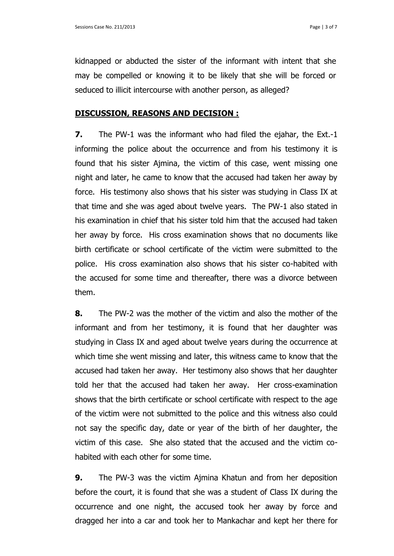kidnapped or abducted the sister of the informant with intent that she may be compelled or knowing it to be likely that she will be forced or seduced to illicit intercourse with another person, as alleged?

#### **DISCUSSION, REASONS AND DECISION :**

**7.** The PW-1 was the informant who had filed the ejahar, the Ext.-1 informing the police about the occurrence and from his testimony it is found that his sister Ajmina, the victim of this case, went missing one night and later, he came to know that the accused had taken her away by force. His testimony also shows that his sister was studying in Class IX at that time and she was aged about twelve years. The PW-1 also stated in his examination in chief that his sister told him that the accused had taken her away by force. His cross examination shows that no documents like birth certificate or school certificate of the victim were submitted to the police. His cross examination also shows that his sister co-habited with the accused for some time and thereafter, there was a divorce between them.

**8.** The PW-2 was the mother of the victim and also the mother of the informant and from her testimony, it is found that her daughter was studying in Class IX and aged about twelve years during the occurrence at which time she went missing and later, this witness came to know that the accused had taken her away. Her testimony also shows that her daughter told her that the accused had taken her away. Her cross-examination shows that the birth certificate or school certificate with respect to the age of the victim were not submitted to the police and this witness also could not say the specific day, date or year of the birth of her daughter, the victim of this case. She also stated that the accused and the victim cohabited with each other for some time.

**9.** The PW-3 was the victim Ajmina Khatun and from her deposition before the court, it is found that she was a student of Class IX during the occurrence and one night, the accused took her away by force and dragged her into a car and took her to Mankachar and kept her there for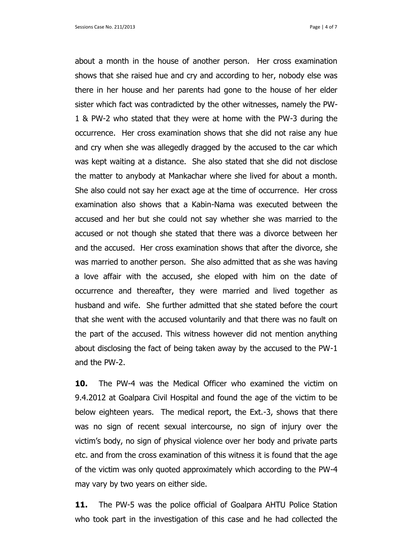about a month in the house of another person. Her cross examination shows that she raised hue and cry and according to her, nobody else was there in her house and her parents had gone to the house of her elder sister which fact was contradicted by the other witnesses, namely the PW-1 & PW-2 who stated that they were at home with the PW-3 during the occurrence. Her cross examination shows that she did not raise any hue and cry when she was allegedly dragged by the accused to the car which was kept waiting at a distance. She also stated that she did not disclose the matter to anybody at Mankachar where she lived for about a month. She also could not say her exact age at the time of occurrence. Her cross examination also shows that a Kabin-Nama was executed between the accused and her but she could not say whether she was married to the accused or not though she stated that there was a divorce between her and the accused. Her cross examination shows that after the divorce, she was married to another person. She also admitted that as she was having a love affair with the accused, she eloped with him on the date of occurrence and thereafter, they were married and lived together as husband and wife. She further admitted that she stated before the court that she went with the accused voluntarily and that there was no fault on the part of the accused. This witness however did not mention anything about disclosing the fact of being taken away by the accused to the PW-1 and the PW-2.

**10.** The PW-4 was the Medical Officer who examined the victim on 9.4.2012 at Goalpara Civil Hospital and found the age of the victim to be below eighteen years. The medical report, the Ext.-3, shows that there was no sign of recent sexual intercourse, no sign of injury over the victim's body, no sign of physical violence over her body and private parts etc. and from the cross examination of this witness it is found that the age of the victim was only quoted approximately which according to the PW-4 may vary by two years on either side.

**11.** The PW-5 was the police official of Goalpara AHTU Police Station who took part in the investigation of this case and he had collected the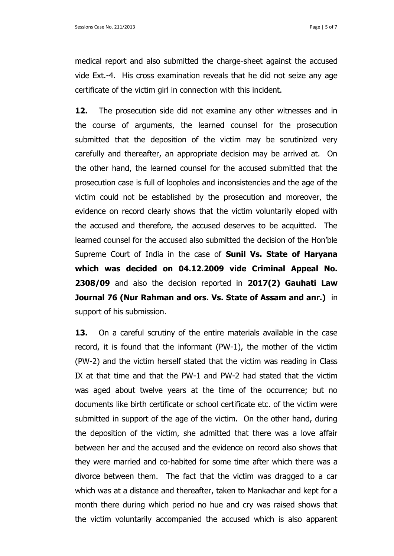medical report and also submitted the charge-sheet against the accused vide Ext.-4. His cross examination reveals that he did not seize any age certificate of the victim girl in connection with this incident.

**12.** The prosecution side did not examine any other witnesses and in the course of arguments, the learned counsel for the prosecution submitted that the deposition of the victim may be scrutinized very carefully and thereafter, an appropriate decision may be arrived at. On the other hand, the learned counsel for the accused submitted that the prosecution case is full of loopholes and inconsistencies and the age of the victim could not be established by the prosecution and moreover, the evidence on record clearly shows that the victim voluntarily eloped with the accused and therefore, the accused deserves to be acquitted. The learned counsel for the accused also submitted the decision of the Hon'ble Supreme Court of India in the case of **Sunil Vs. State of Haryana which was decided on 04.12.2009 vide Criminal Appeal No. 2308/09** and also the decision reported in **2017(2) Gauhati Law Journal 76 (Nur Rahman and ors. Vs. State of Assam and anr.)** in support of his submission.

**13.** On a careful scrutiny of the entire materials available in the case record, it is found that the informant (PW-1), the mother of the victim (PW-2) and the victim herself stated that the victim was reading in Class IX at that time and that the PW-1 and PW-2 had stated that the victim was aged about twelve years at the time of the occurrence; but no documents like birth certificate or school certificate etc. of the victim were submitted in support of the age of the victim. On the other hand, during the deposition of the victim, she admitted that there was a love affair between her and the accused and the evidence on record also shows that they were married and co-habited for some time after which there was a divorce between them. The fact that the victim was dragged to a car which was at a distance and thereafter, taken to Mankachar and kept for a month there during which period no hue and cry was raised shows that the victim voluntarily accompanied the accused which is also apparent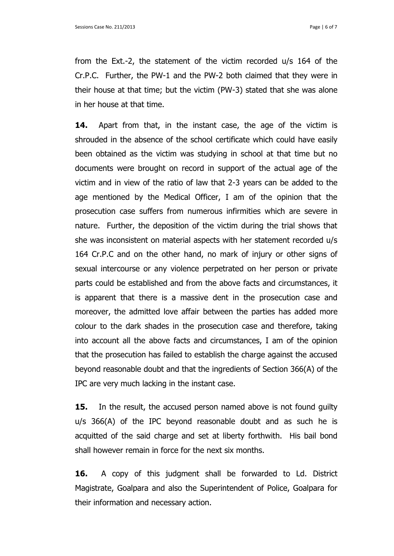from the Ext.-2, the statement of the victim recorded u/s 164 of the Cr.P.C. Further, the PW-1 and the PW-2 both claimed that they were in their house at that time; but the victim (PW-3) stated that she was alone in her house at that time.

**14.** Apart from that, in the instant case, the age of the victim is shrouded in the absence of the school certificate which could have easily been obtained as the victim was studying in school at that time but no documents were brought on record in support of the actual age of the victim and in view of the ratio of law that 2-3 years can be added to the age mentioned by the Medical Officer, I am of the opinion that the prosecution case suffers from numerous infirmities which are severe in nature. Further, the deposition of the victim during the trial shows that she was inconsistent on material aspects with her statement recorded u/s 164 Cr.P.C and on the other hand, no mark of injury or other signs of sexual intercourse or any violence perpetrated on her person or private parts could be established and from the above facts and circumstances, it is apparent that there is a massive dent in the prosecution case and moreover, the admitted love affair between the parties has added more colour to the dark shades in the prosecution case and therefore, taking into account all the above facts and circumstances, I am of the opinion that the prosecution has failed to establish the charge against the accused beyond reasonable doubt and that the ingredients of Section 366(A) of the IPC are very much lacking in the instant case.

**15.** In the result, the accused person named above is not found guilty u/s 366(A) of the IPC beyond reasonable doubt and as such he is acquitted of the said charge and set at liberty forthwith. His bail bond shall however remain in force for the next six months.

**16.** A copy of this judgment shall be forwarded to Ld. District Magistrate, Goalpara and also the Superintendent of Police, Goalpara for their information and necessary action.